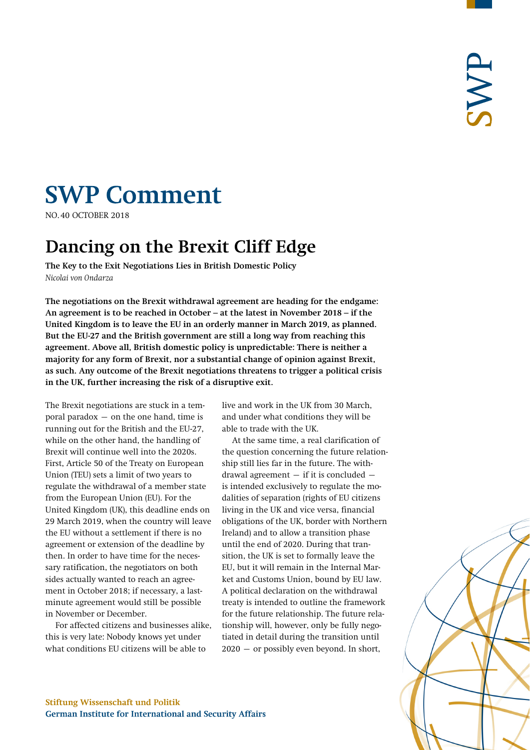# **SWP Comment**

**NO.40 OCTOBER 2018** 

# **Dancing on the Brexit Cliff Edge**

**The Key to the Exit Negotiations Lies in British Domestic Policy**  *Nicolai von Ondarza* 

**The negotiations on the Brexit withdrawal agreement are heading for the endgame: An agreement is to be reached in October – at the latest in November 2018 – if the United Kingdom is to leave the EU in an orderly manner in March 2019, as planned. But the EU-27 and the British government are still a long way from reaching this agreement. Above all, British domestic policy is unpredictable: There is neither a majority for any form of Brexit, nor a substantial change of opinion against Brexit, as such. Any outcome of the Brexit negotiations threatens to trigger a political crisis in the UK, further increasing the risk of a disruptive exit.** 

The Brexit negotiations are stuck in a temporal paradox  $-$  on the one hand, time is running out for the British and the EU-27, while on the other hand, the handling of Brexit will continue well into the 2020s. First, Article 50 of the Treaty on European Union (TEU) sets a limit of two years to regulate the withdrawal of a member state from the European Union (EU). For the United Kingdom (UK), this deadline ends on 29 March 2019, when the country will leave the EU without a settlement if there is no agreement or extension of the deadline by then. In order to have time for the necessary ratification, the negotiators on both sides actually wanted to reach an agreement in October 2018; if necessary, a lastminute agreement would still be possible in November or December.

For affected citizens and businesses alike, this is very late: Nobody knows yet under what conditions EU citizens will be able to

live and work in the UK from 30 March, and under what conditions they will be able to trade with the UK.

At the same time, a real clarification of the question concerning the future relationship still lies far in the future. The withdrawal agreement  $-$  if it is concluded  $$ is intended exclusively to regulate the modalities of separation (rights of EU citizens living in the UK and vice versa, financial obligations of the UK, border with Northern Ireland) and to allow a transition phase until the end of 2020. During that transition, the UK is set to formally leave the EU, but it will remain in the Internal Market and Customs Union, bound by EU law. A political declaration on the withdrawal treaty is intended to outline the framework for the future relationship. The future relationship will, however, only be fully negotiated in detail during the transition until 2020 – or possibly even beyond. In short,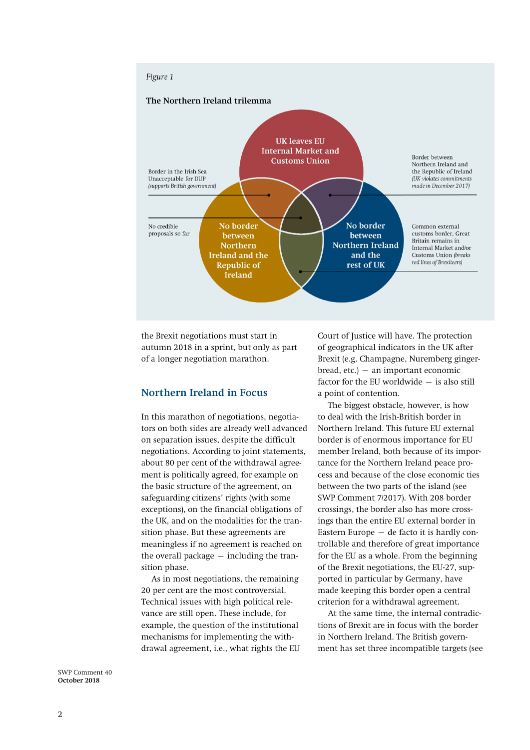

the Brexit negotiations must start in autumn 2018 in a sprint, but only as part of a longer negotiation marathon.

#### **Northern Ireland in Focus**

In this marathon of negotiations, negotiators on both sides are already well advanced on separation issues, despite the difficult negotiations. According to joint statements, about 80 per cent of the withdrawal agreement is politically agreed, for example on the basic structure of the agreement, on safeguarding citizens' rights (with some exceptions), on the financial obligations of the UK, and on the modalities for the transition phase. But these agreements are meaningless if no agreement is reached on the overall package – including the transition phase.

As in most negotiations, the remaining 20 per cent are the most controversial. Technical issues with high political relevance are still open. These include, for example, the question of the institutional mechanisms for implementing the withdrawal agreement, i.e., what rights the EU Court of Justice will have. The protection of geographical indicators in the UK after Brexit (e.g. Champagne, Nuremberg gingerbread, etc.) – an important economic factor for the EU worldwide – is also still a point of contention.

The biggest obstacle, however, is how to deal with the Irish-British border in Northern Ireland. This future EU external border is of enormous importance for EU member Ireland, both because of its importance for the Northern Ireland peace process and because of the close economic ties between the two parts of the island (see SWP Comment 7/2017). With 208 border crossings, the border also has more crossings than the entire EU external border in Eastern Europe – de facto it is hardly controllable and therefore of great importance for the EU as a whole. From the beginning of the Brexit negotiations, the EU-27, supported in particular by Germany, have made keeping this border open a central criterion for a withdrawal agreement.

At the same time, the internal contradictions of Brexit are in focus with the border in Northern Ireland. The British government has set three incompatible targets (see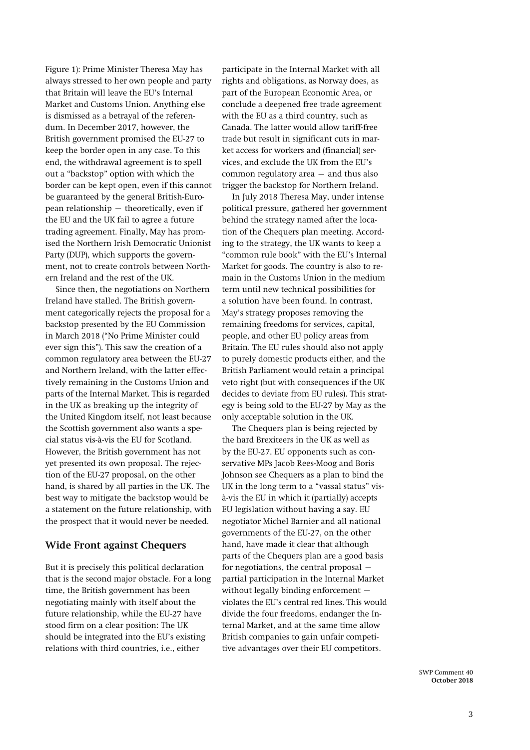Figure 1): Prime Minister Theresa May has always stressed to her own people and party that Britain will leave the EU's Internal Market and Customs Union. Anything else is dismissed as a betrayal of the referendum. In December 2017, however, the British government promised the EU-27 to keep the border open in any case. To this end, the withdrawal agreement is to spell out a "backstop" option with which the border can be kept open, even if this cannot be guaranteed by the general British-European relationship – theoretically, even if the EU and the UK fail to agree a future trading agreement. Finally, May has promised the Northern Irish Democratic Unionist Party (DUP), which supports the government, not to create controls between Northern Ireland and the rest of the UK.

Since then, the negotiations on Northern Ireland have stalled. The British government categorically rejects the proposal for a backstop presented by the EU Commission in March 2018 ("No Prime Minister could ever sign this"). This saw the creation of a common regulatory area between the EU-27 and Northern Ireland, with the latter effectively remaining in the Customs Union and parts of the Internal Market. This is regarded in the UK as breaking up the integrity of the United Kingdom itself, not least because the Scottish government also wants a special status vis-à-vis the EU for Scotland. However, the British government has not yet presented its own proposal. The rejection of the EU-27 proposal, on the other hand, is shared by all parties in the UK. The best way to mitigate the backstop would be a statement on the future relationship, with the prospect that it would never be needed.

### **Wide Front against Chequers**

But it is precisely this political declaration that is the second major obstacle. For a long time, the British government has been negotiating mainly with itself about the future relationship, while the EU-27 have stood firm on a clear position: The UK should be integrated into the EU's existing relations with third countries, i.e., either

participate in the Internal Market with all rights and obligations, as Norway does, as part of the European Economic Area, or conclude a deepened free trade agreement with the EU as a third country, such as Canada. The latter would allow tariff-free trade but result in significant cuts in market access for workers and (financial) services, and exclude the UK from the EU's common regulatory area – and thus also trigger the backstop for Northern Ireland.

In July 2018 Theresa May, under intense political pressure, gathered her government behind the strategy named after the location of the Chequers plan meeting. According to the strategy, the UK wants to keep a "common rule book" with the EU's Internal Market for goods. The country is also to remain in the Customs Union in the medium term until new technical possibilities for a solution have been found. In contrast, May's strategy proposes removing the remaining freedoms for services, capital, people, and other EU policy areas from Britain. The EU rules should also not apply to purely domestic products either, and the British Parliament would retain a principal veto right (but with consequences if the UK decides to deviate from EU rules). This strategy is being sold to the EU-27 by May as the only acceptable solution in the UK.

The Chequers plan is being rejected by the hard Brexiteers in the UK as well as by the EU-27. EU opponents such as conservative MPs Jacob Rees-Moog and Boris Johnson see Chequers as a plan to bind the UK in the long term to a "vassal status" visà-vis the EU in which it (partially) accepts EU legislation without having a say. EU negotiator Michel Barnier and all national governments of the EU-27, on the other hand, have made it clear that although parts of the Chequers plan are a good basis for negotiations, the central proposal – partial participation in the Internal Market without legally binding enforcement – violates the EU's central red lines. This would divide the four freedoms, endanger the Internal Market, and at the same time allow British companies to gain unfair competitive advantages over their EU competitors.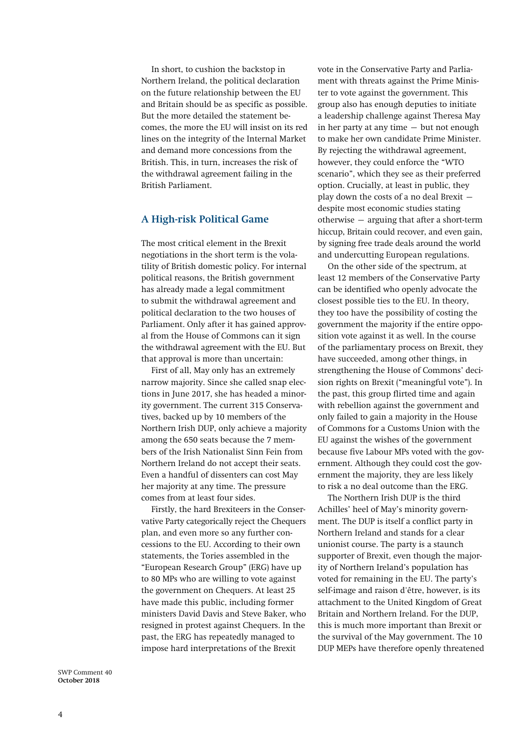In short, to cushion the backstop in Northern Ireland, the political declaration on the future relationship between the EU and Britain should be as specific as possible. But the more detailed the statement becomes, the more the EU will insist on its red lines on the integrity of the Internal Market and demand more concessions from the British. This, in turn, increases the risk of the withdrawal agreement failing in the British Parliament.

## **A High-risk Political Game**

The most critical element in the Brexit negotiations in the short term is the volatility of British domestic policy. For internal political reasons, the British government has already made a legal commitment to submit the withdrawal agreement and political declaration to the two houses of Parliament. Only after it has gained approval from the House of Commons can it sign the withdrawal agreement with the EU. But that approval is more than uncertain:

First of all, May only has an extremely narrow majority. Since she called snap elections in June 2017, she has headed a minority government. The current 315 Conservatives, backed up by 10 members of the Northern Irish DUP, only achieve a majority among the 650 seats because the 7 members of the Irish Nationalist Sinn Fein from Northern Ireland do not accept their seats. Even a handful of dissenters can cost May her majority at any time. The pressure comes from at least four sides.

Firstly, the hard Brexiteers in the Conservative Party categorically reject the Chequers plan, and even more so any further concessions to the EU. According to their own statements, the Tories assembled in the "European Research Group" (ERG) have up to 80 MPs who are willing to vote against the government on Chequers. At least 25 have made this public, including former ministers David Davis and Steve Baker, who resigned in protest against Chequers. In the past, the ERG has repeatedly managed to impose hard interpretations of the Brexit

vote in the Conservative Party and Parliament with threats against the Prime Minister to vote against the government. This group also has enough deputies to initiate a leadership challenge against Theresa May in her party at any time – but not enough to make her own candidate Prime Minister. By rejecting the withdrawal agreement, however, they could enforce the "WTO scenario", which they see as their preferred option. Crucially, at least in public, they play down the costs of a no deal Brexit  $$ despite most economic studies stating otherwise – arguing that after a short-term hiccup, Britain could recover, and even gain, by signing free trade deals around the world and undercutting European regulations.

On the other side of the spectrum, at least 12 members of the Conservative Party can be identified who openly advocate the closest possible ties to the EU. In theory, they too have the possibility of costing the government the majority if the entire opposition vote against it as well. In the course of the parliamentary process on Brexit, they have succeeded, among other things, in strengthening the House of Commons' decision rights on Brexit ("meaningful vote"). In the past, this group flirted time and again with rebellion against the government and only failed to gain a majority in the House of Commons for a Customs Union with the EU against the wishes of the government because five Labour MPs voted with the government. Although they could cost the government the majority, they are less likely to risk a no deal outcome than the ERG.

The Northern Irish DUP is the third Achilles' heel of May's minority government. The DUP is itself a conflict party in Northern Ireland and stands for a clear unionist course. The party is a staunch supporter of Brexit, even though the majority of Northern Ireland's population has voted for remaining in the EU. The party's self-image and raison d'être, however, is its attachment to the United Kingdom of Great Britain and Northern Ireland. For the DUP, this is much more important than Brexit or the survival of the May government. The 10 DUP MEPs have therefore openly threatened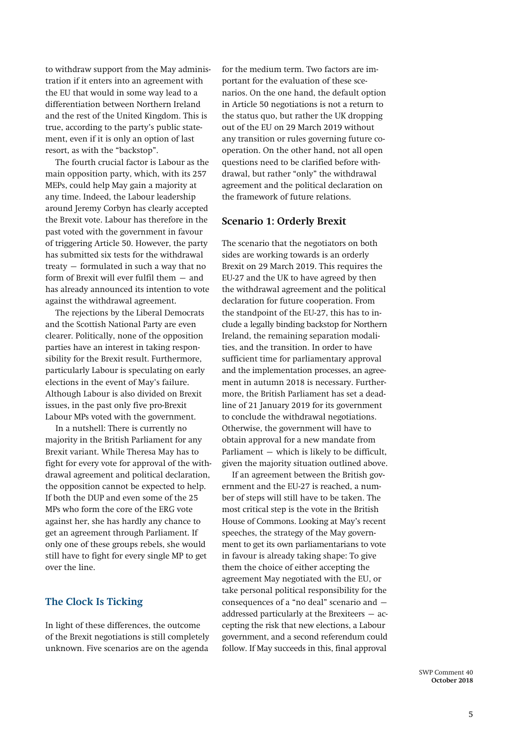to withdraw support from the May administration if it enters into an agreement with the EU that would in some way lead to a differentiation between Northern Ireland and the rest of the United Kingdom. This is true, according to the party's public statement, even if it is only an option of last resort, as with the "backstop".

The fourth crucial factor is Labour as the main opposition party, which, with its 257 MEPs, could help May gain a majority at any time. Indeed, the Labour leadership around Jeremy Corbyn has clearly accepted the Brexit vote. Labour has therefore in the past voted with the government in favour of triggering Article 50. However, the party has submitted six tests for the withdrawal treaty – formulated in such a way that no form of Brexit will ever fulfil them – and has already announced its intention to vote against the withdrawal agreement.

The rejections by the Liberal Democrats and the Scottish National Party are even clearer. Politically, none of the opposition parties have an interest in taking responsibility for the Brexit result. Furthermore, particularly Labour is speculating on early elections in the event of May's failure. Although Labour is also divided on Brexit issues, in the past only five pro-Brexit Labour MPs voted with the government.

In a nutshell: There is currently no majority in the British Parliament for any Brexit variant. While Theresa May has to fight for every vote for approval of the withdrawal agreement and political declaration, the opposition cannot be expected to help. If both the DUP and even some of the 25 MPs who form the core of the ERG vote against her, she has hardly any chance to get an agreement through Parliament. If only one of these groups rebels, she would still have to fight for every single MP to get over the line.

#### **The Clock Is Ticking**

In light of these differences, the outcome of the Brexit negotiations is still completely unknown. Five scenarios are on the agenda

for the medium term. Two factors are important for the evaluation of these scenarios. On the one hand, the default option in Article 50 negotiations is not a return to the status quo, but rather the UK dropping out of the EU on 29 March 2019 without any transition or rules governing future cooperation. On the other hand, not all open questions need to be clarified before withdrawal, but rather "only" the withdrawal agreement and the political declaration on the framework of future relations.

#### **Scenario 1: Orderly Brexit**

The scenario that the negotiators on both sides are working towards is an orderly Brexit on 29 March 2019. This requires the EU-27 and the UK to have agreed by then the withdrawal agreement and the political declaration for future cooperation. From the standpoint of the EU-27, this has to include a legally binding backstop for Northern Ireland, the remaining separation modalities, and the transition. In order to have sufficient time for parliamentary approval and the implementation processes, an agreement in autumn 2018 is necessary. Furthermore, the British Parliament has set a deadline of 21 January 2019 for its government to conclude the withdrawal negotiations. Otherwise, the government will have to obtain approval for a new mandate from Parliament – which is likely to be difficult, given the majority situation outlined above.

If an agreement between the British government and the EU-27 is reached, a number of steps will still have to be taken. The most critical step is the vote in the British House of Commons. Looking at May's recent speeches, the strategy of the May government to get its own parliamentarians to vote in favour is already taking shape: To give them the choice of either accepting the agreement May negotiated with the EU, or take personal political responsibility for the consequences of a "no deal" scenario and – addressed particularly at the Brexiteers – accepting the risk that new elections, a Labour government, and a second referendum could follow. If May succeeds in this, final approval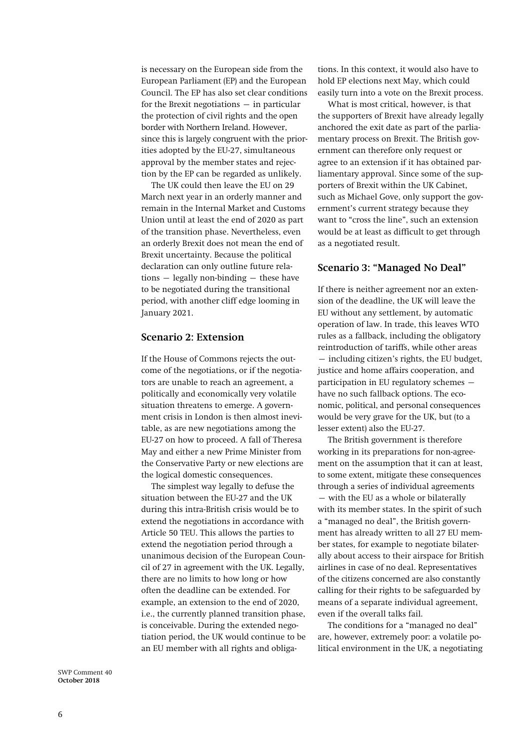is necessary on the European side from the European Parliament (EP) and the European Council. The EP has also set clear conditions for the Brexit negotiations  $-$  in particular the protection of civil rights and the open border with Northern Ireland. However, since this is largely congruent with the priorities adopted by the EU-27, simultaneous approval by the member states and rejection by the EP can be regarded as unlikely.

The UK could then leave the EU on 29 March next year in an orderly manner and remain in the Internal Market and Customs Union until at least the end of 2020 as part of the transition phase. Nevertheless, even an orderly Brexit does not mean the end of Brexit uncertainty. Because the political declaration can only outline future relations – legally non-binding – these have to be negotiated during the transitional period, with another cliff edge looming in January 2021.

### **Scenario 2: Extension**

If the House of Commons rejects the outcome of the negotiations, or if the negotiators are unable to reach an agreement, a politically and economically very volatile situation threatens to emerge. A government crisis in London is then almost inevitable, as are new negotiations among the EU-27 on how to proceed. A fall of Theresa May and either a new Prime Minister from the Conservative Party or new elections are the logical domestic consequences.

The simplest way legally to defuse the situation between the EU-27 and the UK during this intra-British crisis would be to extend the negotiations in accordance with Article 50 TEU. This allows the parties to extend the negotiation period through a unanimous decision of the European Council of 27 in agreement with the UK. Legally, there are no limits to how long or how often the deadline can be extended. For example, an extension to the end of 2020, i.e., the currently planned transition phase, is conceivable. During the extended negotiation period, the UK would continue to be an EU member with all rights and obligations. In this context, it would also have to hold EP elections next May, which could easily turn into a vote on the Brexit process.

What is most critical, however, is that the supporters of Brexit have already legally anchored the exit date as part of the parliamentary process on Brexit. The British government can therefore only request or agree to an extension if it has obtained parliamentary approval. Since some of the supporters of Brexit within the UK Cabinet, such as Michael Gove, only support the government's current strategy because they want to "cross the line", such an extension would be at least as difficult to get through as a negotiated result.

### **Scenario 3: "Managed No Deal"**

If there is neither agreement nor an extension of the deadline, the UK will leave the EU without any settlement, by automatic operation of law. In trade, this leaves WTO rules as a fallback, including the obligatory reintroduction of tariffs, while other areas – including citizen's rights, the EU budget, justice and home affairs cooperation, and participation in EU regulatory schemes – have no such fallback options. The economic, political, and personal consequences would be very grave for the UK, but (to a lesser extent) also the EU-27.

The British government is therefore working in its preparations for non-agreement on the assumption that it can at least, to some extent, mitigate these consequences through a series of individual agreements – with the EU as a whole or bilaterally with its member states. In the spirit of such a "managed no deal", the British government has already written to all 27 EU member states, for example to negotiate bilaterally about access to their airspace for British airlines in case of no deal. Representatives of the citizens concerned are also constantly calling for their rights to be safeguarded by means of a separate individual agreement, even if the overall talks fail.

The conditions for a "managed no deal" are, however, extremely poor: a volatile political environment in the UK, a negotiating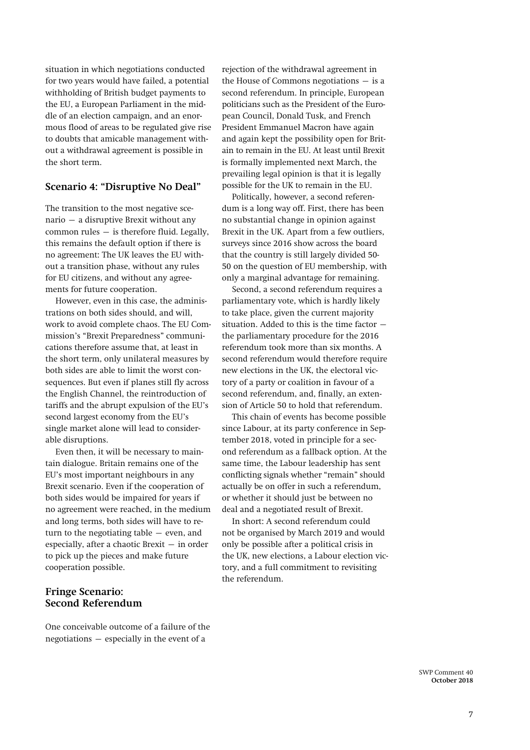situation in which negotiations conducted for two years would have failed, a potential withholding of British budget payments to the EU, a European Parliament in the middle of an election campaign, and an enormous flood of areas to be regulated give rise to doubts that amicable management without a withdrawal agreement is possible in the short term.

# **Scenario 4: "Disruptive No Deal"**

The transition to the most negative scenario – a disruptive Brexit without any common rules – is therefore fluid. Legally, this remains the default option if there is no agreement: The UK leaves the EU without a transition phase, without any rules for EU citizens, and without any agreements for future cooperation.

However, even in this case, the administrations on both sides should, and will, work to avoid complete chaos. The EU Commission's "Brexit Preparedness" communications therefore assume that, at least in the short term, only unilateral measures by both sides are able to limit the worst consequences. But even if planes still fly across the English Channel, the reintroduction of tariffs and the abrupt expulsion of the EU's second largest economy from the EU's single market alone will lead to considerable disruptions.

Even then, it will be necessary to maintain dialogue. Britain remains one of the EU's most important neighbours in any Brexit scenario. Even if the cooperation of both sides would be impaired for years if no agreement were reached, in the medium and long terms, both sides will have to return to the negotiating table – even, and especially, after a chaotic Brexit – in order to pick up the pieces and make future cooperation possible.

# **Fringe Scenario: Second Referendum**

One conceivable outcome of a failure of the negotiations – especially in the event of a

rejection of the withdrawal agreement in the House of Commons negotiations  $-$  is a second referendum. In principle, European politicians such as the President of the European Council, Donald Tusk, and French President Emmanuel Macron have again and again kept the possibility open for Britain to remain in the EU. At least until Brexit is formally implemented next March, the prevailing legal opinion is that it is legally possible for the UK to remain in the EU.

Politically, however, a second referendum is a long way off. First, there has been no substantial change in opinion against Brexit in the UK. Apart from a few outliers, surveys since 2016 show across the board that the country is still largely divided 50- 50 on the question of EU membership, with only a marginal advantage for remaining.

Second, a second referendum requires a parliamentary vote, which is hardly likely to take place, given the current majority situation. Added to this is the time factor – the parliamentary procedure for the 2016 referendum took more than six months. A second referendum would therefore require new elections in the UK, the electoral victory of a party or coalition in favour of a second referendum, and, finally, an extension of Article 50 to hold that referendum.

This chain of events has become possible since Labour, at its party conference in September 2018, voted in principle for a second referendum as a fallback option. At the same time, the Labour leadership has sent conflicting signals whether "remain" should actually be on offer in such a referendum, or whether it should just be between no deal and a negotiated result of Brexit.

In short: A second referendum could not be organised by March 2019 and would only be possible after a political crisis in the UK, new elections, a Labour election victory, and a full commitment to revisiting the referendum.